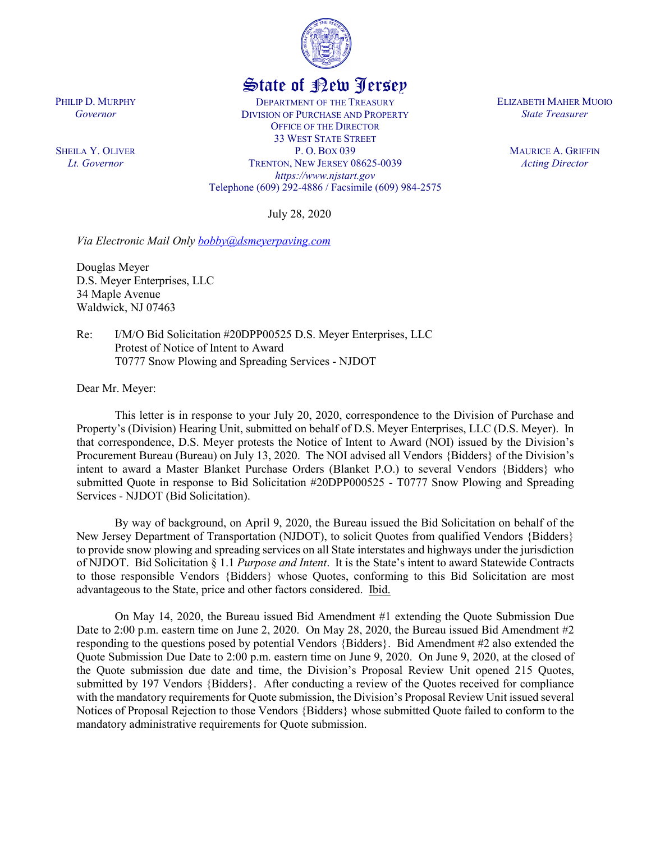

# State of New Jersey

DEPARTMENT OF THE TREASURY DIVISION OF PURCHASE AND PROPERTY OFFICE OF THE DIRECTOR 33 WEST STATE STREET P. O. BOX 039 TRENTON, NEW JERSEY 08625-0039 *https://www.njstart.gov* Telephone (609) 292-4886 / Facsimile (609) 984-2575

July 28, 2020

*Via Electronic Mail Only [bobby@dsmeyerpaving.com](mailto:bobby@dsmeyerpaving.com)*

Douglas Meyer D.S. Meyer Enterprises, LLC 34 Maple Avenue Waldwick, NJ 07463

Re: I/M/O Bid Solicitation #20DPP00525 D.S. Meyer Enterprises, LLC Protest of Notice of Intent to Award T0777 Snow Plowing and Spreading Services - NJDOT

Dear Mr. Meyer:

PHILIP D. MURPHY *Governor*

SHEILA Y. OLIVER *Lt. Governor*

> This letter is in response to your July 20, 2020, correspondence to the Division of Purchase and Property's (Division) Hearing Unit, submitted on behalf of D.S. Meyer Enterprises, LLC (D.S. Meyer). In that correspondence, D.S. Meyer protests the Notice of Intent to Award (NOI) issued by the Division's Procurement Bureau (Bureau) on July 13, 2020. The NOI advised all Vendors {Bidders} of the Division's intent to award a Master Blanket Purchase Orders (Blanket P.O.) to several Vendors {Bidders} who submitted Quote in response to Bid Solicitation #20DPP000525 - T0777 Snow Plowing and Spreading Services - NJDOT (Bid Solicitation).

> By way of background, on April 9, 2020, the Bureau issued the Bid Solicitation on behalf of the New Jersey Department of Transportation (NJDOT), to solicit Quotes from qualified Vendors {Bidders} to provide snow plowing and spreading services on all State interstates and highways under the jurisdiction of NJDOT. Bid Solicitation § 1.1 *Purpose and Intent*. It is the State's intent to award Statewide Contracts to those responsible Vendors {Bidders} whose Quotes, conforming to this Bid Solicitation are most advantageous to the State, price and other factors considered. Ibid.

> On May 14, 2020, the Bureau issued Bid Amendment #1 extending the Quote Submission Due Date to 2:00 p.m. eastern time on June 2, 2020. On May 28, 2020, the Bureau issued Bid Amendment #2 responding to the questions posed by potential Vendors {Bidders}. Bid Amendment #2 also extended the Quote Submission Due Date to 2:00 p.m. eastern time on June 9, 2020. On June 9, 2020, at the closed of the Quote submission due date and time, the Division's Proposal Review Unit opened 215 Quotes, submitted by 197 Vendors {Bidders}. After conducting a review of the Quotes received for compliance with the mandatory requirements for Quote submission, the Division's Proposal Review Unit issued several Notices of Proposal Rejection to those Vendors {Bidders} whose submitted Quote failed to conform to the mandatory administrative requirements for Quote submission.

ELIZABETH MAHER MUOIO *State Treasurer*

> MAURICE A. GRIFFIN *Acting Director*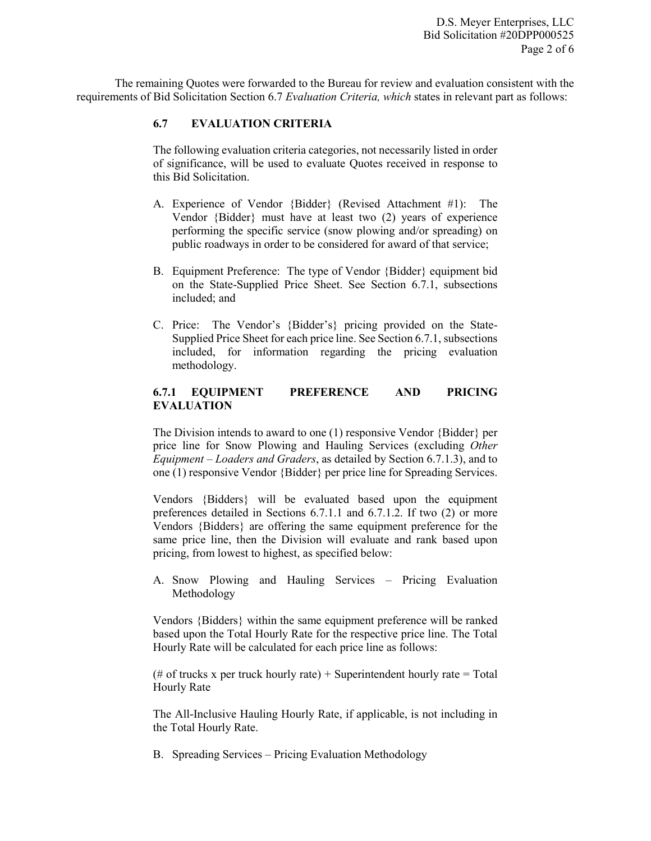The remaining Quotes were forwarded to the Bureau for review and evaluation consistent with the requirements of Bid Solicitation Section 6.7 *Evaluation Criteria, which* states in relevant part as follows:

# **6.7 EVALUATION CRITERIA**

The following evaluation criteria categories, not necessarily listed in order of significance, will be used to evaluate Quotes received in response to this Bid Solicitation.

- A. Experience of Vendor {Bidder} (Revised Attachment #1): The Vendor {Bidder} must have at least two (2) years of experience performing the specific service (snow plowing and/or spreading) on public roadways in order to be considered for award of that service;
- B. Equipment Preference: The type of Vendor {Bidder} equipment bid on the State-Supplied Price Sheet. See Section 6.7.1, subsections included; and
- C. Price: The Vendor's {Bidder's} pricing provided on the State-Supplied Price Sheet for each price line. See Section 6.7.1, subsections included, for information regarding the pricing evaluation methodology.

## **6.7.1 EQUIPMENT PREFERENCE AND PRICING EVALUATION**

The Division intends to award to one (1) responsive Vendor {Bidder} per price line for Snow Plowing and Hauling Services (excluding *Other Equipment – Loaders and Graders*, as detailed by Section 6.7.1.3), and to one (1) responsive Vendor {Bidder} per price line for Spreading Services.

Vendors {Bidders} will be evaluated based upon the equipment preferences detailed in Sections 6.7.1.1 and 6.7.1.2. If two (2) or more Vendors {Bidders} are offering the same equipment preference for the same price line, then the Division will evaluate and rank based upon pricing, from lowest to highest, as specified below:

A. Snow Plowing and Hauling Services – Pricing Evaluation Methodology

Vendors {Bidders} within the same equipment preference will be ranked based upon the Total Hourly Rate for the respective price line. The Total Hourly Rate will be calculated for each price line as follows:

(# of trucks x per truck hourly rate) + Superintendent hourly rate = Total Hourly Rate

The All-Inclusive Hauling Hourly Rate, if applicable, is not including in the Total Hourly Rate.

B. Spreading Services – Pricing Evaluation Methodology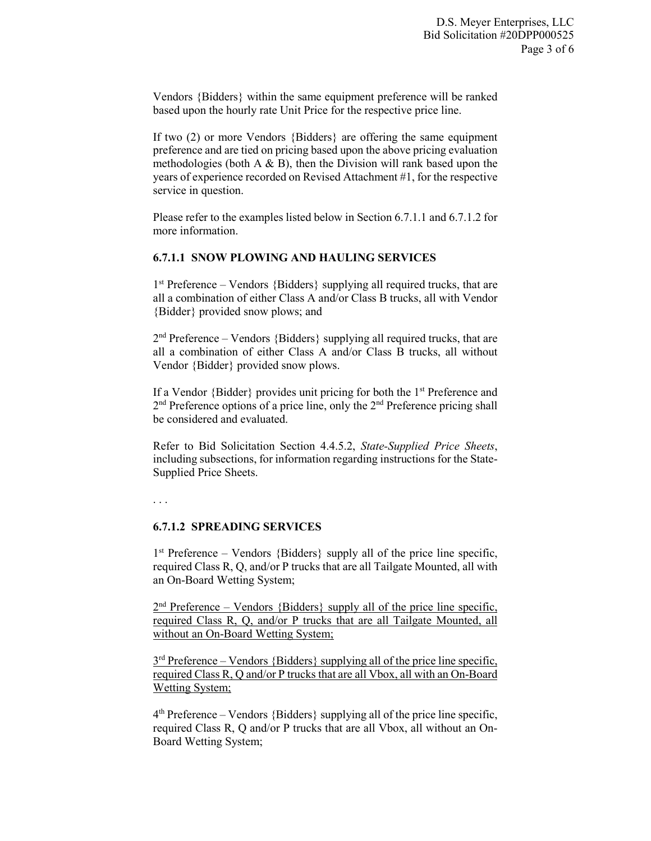Vendors {Bidders} within the same equipment preference will be ranked based upon the hourly rate Unit Price for the respective price line.

If two (2) or more Vendors {Bidders} are offering the same equipment preference and are tied on pricing based upon the above pricing evaluation methodologies (both  $A \& B$ ), then the Division will rank based upon the years of experience recorded on Revised Attachment #1, for the respective service in question.

Please refer to the examples listed below in Section 6.7.1.1 and 6.7.1.2 for more information.

### **6.7.1.1 SNOW PLOWING AND HAULING SERVICES**

 $1<sup>st</sup>$  Preference – Vendors {Bidders} supplying all required trucks, that are all a combination of either Class A and/or Class B trucks, all with Vendor {Bidder} provided snow plows; and

 $2<sup>nd</sup>$  Preference – Vendors {Bidders} supplying all required trucks, that are all a combination of either Class A and/or Class B trucks, all without Vendor {Bidder} provided snow plows.

If a Vendor  $\{Bidder\}$  provides unit pricing for both the 1<sup>st</sup> Preference and 2<sup>nd</sup> Preference options of a price line, only the 2<sup>nd</sup> Preference pricing shall be considered and evaluated.

Refer to Bid Solicitation Section 4.4.5.2, *State-Supplied Price Sheets*, including subsections, for information regarding instructions for the State-Supplied Price Sheets.

. . .

### **6.7.1.2 SPREADING SERVICES**

 $1<sup>st</sup>$  Preference – Vendors {Bidders} supply all of the price line specific, required Class R, Q, and/or P trucks that are all Tailgate Mounted, all with an On-Board Wetting System;

 $2<sup>nd</sup>$  Preference – Vendors {Bidders} supply all of the price line specific, required Class R, Q, and/or P trucks that are all Tailgate Mounted, all without an On-Board Wetting System;

 $3<sup>rd</sup>$  Preference – Vendors {Bidders} supplying all of the price line specific, required Class R, Q and/or P trucks that are all Vbox, all with an On-Board Wetting System;

 $4<sup>th</sup>$  Preference – Vendors {Bidders} supplying all of the price line specific, required Class R, Q and/or P trucks that are all Vbox, all without an On-Board Wetting System;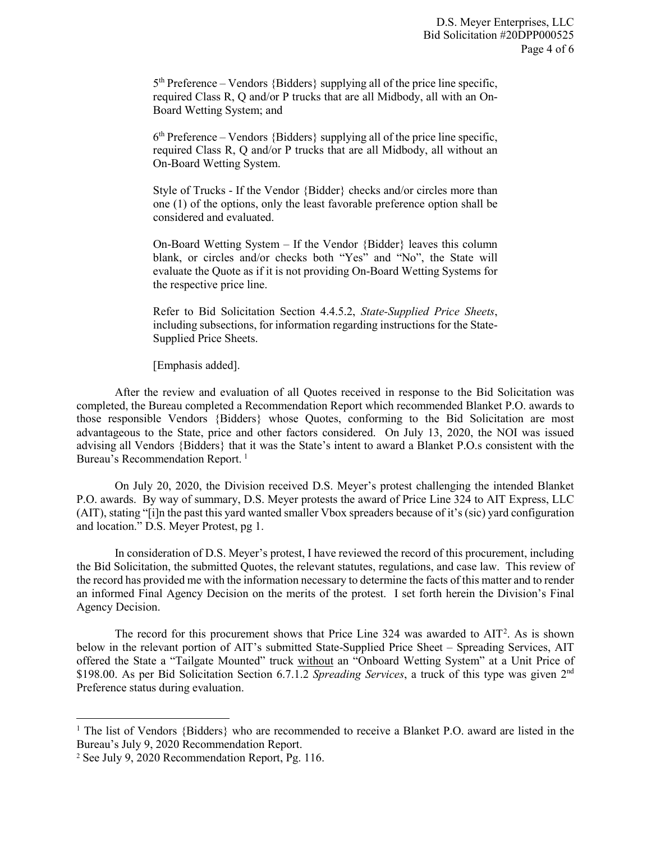$5<sup>th</sup>$  Preference – Vendors {Bidders} supplying all of the price line specific, required Class R, Q and/or P trucks that are all Midbody, all with an On-Board Wetting System; and

 $6<sup>th</sup>$  Preference – Vendors {Bidders} supplying all of the price line specific, required Class R, Q and/or P trucks that are all Midbody, all without an On-Board Wetting System.

Style of Trucks - If the Vendor {Bidder} checks and/or circles more than one (1) of the options, only the least favorable preference option shall be considered and evaluated.

On-Board Wetting System – If the Vendor {Bidder} leaves this column blank, or circles and/or checks both "Yes" and "No", the State will evaluate the Quote as if it is not providing On-Board Wetting Systems for the respective price line.

Refer to Bid Solicitation Section 4.4.5.2, *State-Supplied Price Sheets*, including subsections, for information regarding instructions for the State-Supplied Price Sheets.

[Emphasis added].

After the review and evaluation of all Quotes received in response to the Bid Solicitation was completed, the Bureau completed a Recommendation Report which recommended Blanket P.O. awards to those responsible Vendors {Bidders} whose Quotes, conforming to the Bid Solicitation are most advantageous to the State, price and other factors considered. On July 13, 2020, the NOI was issued advising all Vendors {Bidders} that it was the State's intent to award a Blanket P.O.s consistent with the Bureau's Recommendation Report.<sup>[1](#page-3-0)</sup>

On July 20, 2020, the Division received D.S. Meyer's protest challenging the intended Blanket P.O. awards. By way of summary, D.S. Meyer protests the award of Price Line 324 to AIT Express, LLC (AIT), stating "[i]n the past this yard wanted smaller Vbox spreaders because of it's (sic) yard configuration and location." D.S. Meyer Protest, pg 1.

In consideration of D.S. Meyer's protest, I have reviewed the record of this procurement, including the Bid Solicitation, the submitted Quotes, the relevant statutes, regulations, and case law. This review of the record has provided me with the information necessary to determine the facts of this matter and to render an informed Final Agency Decision on the merits of the protest. I set forth herein the Division's Final Agency Decision.

The record for this procurement shows that Price Line  $324$  $324$  $324$  was awarded to AIT<sup>2</sup>. As is shown below in the relevant portion of AIT's submitted State-Supplied Price Sheet – Spreading Services, AIT offered the State a "Tailgate Mounted" truck without an "Onboard Wetting System" at a Unit Price of \$198.00. As per Bid Solicitation Section 6.7.1.2 *Spreading Services*, a truck of this type was given 2nd Preference status during evaluation.

 $\overline{\phantom{a}}$ 

<span id="page-3-0"></span><sup>&</sup>lt;sup>1</sup> The list of Vendors {Bidders} who are recommended to receive a Blanket P.O. award are listed in the Bureau's July 9, 2020 Recommendation Report.

<span id="page-3-1"></span><sup>2</sup> See July 9, 2020 Recommendation Report, Pg. 116.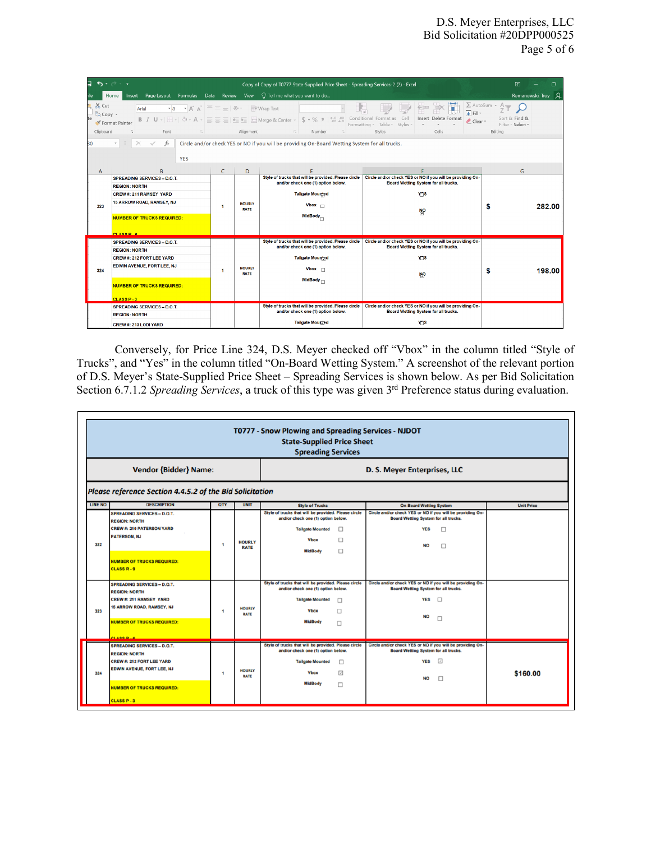| $\bullet$ $\rightarrow$ $\bullet$<br>困<br>ь<br>门<br>Copy of Copy of T0777 State-Supplied Price Sheet - Spreading Services-2 (2) - Excel                                                                                                                                                                                                                                                                                                                                                                             |                                                                                                                    |                |                              |                                                                                                                                      |                                                                                                                        |    |        |  |  |  |  |
|---------------------------------------------------------------------------------------------------------------------------------------------------------------------------------------------------------------------------------------------------------------------------------------------------------------------------------------------------------------------------------------------------------------------------------------------------------------------------------------------------------------------|--------------------------------------------------------------------------------------------------------------------|----------------|------------------------------|--------------------------------------------------------------------------------------------------------------------------------------|------------------------------------------------------------------------------------------------------------------------|----|--------|--|--|--|--|
| Insert Page Layout Formulas Data Review View $\bigcirc$ Tell me what you want to do<br>Romanowski, Troy Q<br>Home                                                                                                                                                                                                                                                                                                                                                                                                   |                                                                                                                    |                |                              |                                                                                                                                      |                                                                                                                        |    |        |  |  |  |  |
| $X0$ Cut<br>$\Sigma$ AutoSum $\cdot$ A <sub>W</sub><br>$\mathsf{A}^{\star} \mathsf{A}^{\star} \equiv \equiv \equiv \mathsf{B} \mathsf{B} \mathsf{B} \mathsf{B}$ Wrap Text<br>$\mathbf{B}$<br>Arial<br>U<br>$\overline{\downarrow}$ Fill $\sim$<br><sup>E</sup> Copy *<br>Insert Delete Format<br>Sort & Find &<br>Clear *<br>S Format Painter<br>Filter ~ Select *<br>Alignment <b>Alignment</b><br>Clipboard<br>Styles<br>Cells<br>$\overline{\mathbb{F}_N}$ .<br>Font<br>Number<br>Editing<br>$5 -$<br>$\sqrt{2}$ |                                                                                                                    |                |                              |                                                                                                                                      |                                                                                                                        |    |        |  |  |  |  |
| $\times$<br>$\checkmark$<br>fx<br>Circle and/or check YES or NO if you will be providing On-Board Wetting System for all trucks.<br>$_{\rm v}$<br>80<br><b>YES</b>                                                                                                                                                                                                                                                                                                                                                  |                                                                                                                    |                |                              |                                                                                                                                      |                                                                                                                        |    |        |  |  |  |  |
| A                                                                                                                                                                                                                                                                                                                                                                                                                                                                                                                   | <sub>B</sub>                                                                                                       | $\epsilon$     | D                            |                                                                                                                                      |                                                                                                                        | G  |        |  |  |  |  |
| 323                                                                                                                                                                                                                                                                                                                                                                                                                                                                                                                 | <b>SPREADING SERVICES - D.O.T.</b><br><b>REGION: NORTH</b><br>CREW #: 211 RAMSEY YARD<br>15 ARROW ROAD, RAMSEY, NJ | -1             | <b>HOURLY</b><br><b>RATE</b> | Style of trucks that will be provided. Please circle<br>and/or check one (1) option below.<br><b>Tailgate Mounted</b><br>Vbox $\Box$ | Circle and/or check YES or NO if you will be providing On-<br>Board Wetting System for all trucks.<br>Y <sub>7</sub> S | s  |        |  |  |  |  |
|                                                                                                                                                                                                                                                                                                                                                                                                                                                                                                                     | <b>NUMBER OF TRUCKS REQUIRED:</b><br>CLASS P.R.                                                                    |                |                              | MidBody                                                                                                                              | ŴЪ                                                                                                                     |    | 282.00 |  |  |  |  |
|                                                                                                                                                                                                                                                                                                                                                                                                                                                                                                                     | <b>SPREADING SERVICES - D.O.T.</b>                                                                                 | $\overline{1}$ | <b>HOURLY</b><br><b>RATE</b> | Style of trucks that will be provided. Please circle<br>and/or check one (1) option below.                                           | Circle and/or check YES or NO if you will be providing On-<br>Board Wetting System for all trucks.                     |    |        |  |  |  |  |
|                                                                                                                                                                                                                                                                                                                                                                                                                                                                                                                     | <b>REGION: NORTH</b><br>CREW #: 212 FORT LEE YARD                                                                  |                |                              | Tailgate Mountad                                                                                                                     | Y <sub>1</sub> S                                                                                                       |    |        |  |  |  |  |
|                                                                                                                                                                                                                                                                                                                                                                                                                                                                                                                     | EDWIN AVENUE, FORT LEE, NJ                                                                                         |                |                              | Vbox $\Box$                                                                                                                          |                                                                                                                        |    |        |  |  |  |  |
| 324                                                                                                                                                                                                                                                                                                                                                                                                                                                                                                                 | <b>NUMBER OF TRUCKS REQUIRED:</b><br>CLASS P-3                                                                     |                |                              | MidBody $\Box$                                                                                                                       | <b>NO</b>                                                                                                              | \$ | 198.00 |  |  |  |  |
|                                                                                                                                                                                                                                                                                                                                                                                                                                                                                                                     | <b>SPREADING SERVICES - D.O.T.</b>                                                                                 |                |                              | Style of trucks that will be provided. Please circle                                                                                 | Circle and/or check YES or NO if you will be providing On-                                                             |    |        |  |  |  |  |
|                                                                                                                                                                                                                                                                                                                                                                                                                                                                                                                     | <b>REGION: NORTH</b>                                                                                               |                |                              | and/or check one (1) option below.                                                                                                   | Board Wetting System for all trucks.                                                                                   |    |        |  |  |  |  |
|                                                                                                                                                                                                                                                                                                                                                                                                                                                                                                                     | CREW #: 213 LODI YARD                                                                                              |                |                              | Tailgate Mounted                                                                                                                     | Y <sub>7</sub> S                                                                                                       |    |        |  |  |  |  |

Conversely, for Price Line 324, D.S. Meyer checked off "Vbox" in the column titled "Style of Trucks", and "Yes" in the column titled "On-Board Wetting System." A screenshot of the relevant portion of D.S. Meyer's State-Supplied Price Sheet – Spreading Services is shown below. As per Bid Solicitation Section 6.7.1.2 *Spreading Services*, a truck of this type was given 3rd Preference status during evaluation.

|                              | T0777 - Snow Plowing and Spreading Services - NJDOT<br><b>State-Supplied Price Sheet</b><br><b>Spreading Services</b> |                          |                              |                                                                                            |                                                                                                           |                   |  |  |  |  |  |
|------------------------------|-----------------------------------------------------------------------------------------------------------------------|--------------------------|------------------------------|--------------------------------------------------------------------------------------------|-----------------------------------------------------------------------------------------------------------|-------------------|--|--|--|--|--|
| <b>Vendor {Bidder} Name:</b> |                                                                                                                       |                          |                              | D. S. Meyer Enterprises, LLC                                                               |                                                                                                           |                   |  |  |  |  |  |
|                              | Please reference Section 4.4.5.2 of the Bid Solicitation                                                              |                          |                              |                                                                                            |                                                                                                           |                   |  |  |  |  |  |
| <b>LINE NO</b>               | <b>DESCRIPTION</b>                                                                                                    | QTY                      | <b>UNIT</b>                  | <b>Style of Trucks</b>                                                                     | <b>On-Board Wetting System</b>                                                                            | <b>Unit Price</b> |  |  |  |  |  |
|                              | <b>SPREADING SERVICES - D.O.T.</b><br><b>REGION: NORTH</b>                                                            | ٠                        | <b>HOURLY</b><br><b>RATE</b> | Style of trucks that will be provided. Please circle<br>and/or check one (1) option below. | Circle and/or check YES or NO if you will be providing On-<br><b>Board Wetting System for all trucks.</b> |                   |  |  |  |  |  |
|                              | <b>CREW #: 210 PATERSON YARD</b>                                                                                      |                          |                              | <b>Tailgate Mounted</b><br>Ω                                                               | <b>YES</b><br>П                                                                                           |                   |  |  |  |  |  |
|                              | <b>PATERSON, NJ</b>                                                                                                   |                          |                              | Ω<br><b>Vbox</b>                                                                           |                                                                                                           |                   |  |  |  |  |  |
| 322                          |                                                                                                                       |                          |                              | Ω<br><b>MidBody</b>                                                                        | <b>NO</b><br>□                                                                                            |                   |  |  |  |  |  |
|                              | <b>NUMBER OF TRUCKS REQUIRED:</b><br><b>CLASS R - 9</b>                                                               |                          |                              |                                                                                            |                                                                                                           |                   |  |  |  |  |  |
|                              | <b>SPREADING SERVICES - D.O.T.</b>                                                                                    | ٠                        | <b>HOURLY</b><br><b>RATE</b> | Style of trucks that will be provided. Please circle<br>and/or check one (1) option below. | Circle and/or check YES or NO if you will be providing On-<br>Board Wetting System for all trucks.        |                   |  |  |  |  |  |
|                              | <b>REGION: NORTH</b><br><b>CREW #: 211 RAMSEY YARD</b>                                                                |                          |                              | <b>Tailgate Mounted</b><br>$\Box$                                                          | <b>YES</b><br>D                                                                                           |                   |  |  |  |  |  |
|                              | <b>15 ARROW ROAD, RAMSEY, NJ</b>                                                                                      |                          |                              |                                                                                            |                                                                                                           |                   |  |  |  |  |  |
| 323                          |                                                                                                                       |                          |                              | <b>Vbox</b><br>□                                                                           | <b>NO</b><br>п                                                                                            |                   |  |  |  |  |  |
|                              | <b>NUMBER OF TRUCKS REQUIRED:</b>                                                                                     |                          |                              | <b>MidBody</b><br>$\Box$                                                                   |                                                                                                           |                   |  |  |  |  |  |
|                              | <b>CLASS D.A.</b>                                                                                                     |                          |                              |                                                                                            |                                                                                                           |                   |  |  |  |  |  |
|                              | <b>SPREADING SERVICES - D.O.T.</b>                                                                                    |                          |                              | Style of trucks that will be provided. Please circle                                       | Circle and/or check YES or NO if you will be providing On-                                                |                   |  |  |  |  |  |
|                              | <b>REGION: NORTH</b>                                                                                                  |                          |                              | and/or check one (1) option below.                                                         | <b>Board Wetting System for all trucks.</b>                                                               |                   |  |  |  |  |  |
|                              | <b>CREW #: 212 FORT LEE YARD</b>                                                                                      | $\overline{\phantom{a}}$ | <b>HOURLY</b><br><b>RATE</b> | <b>Tailgate Mounted</b><br>□                                                               | $\sqrt{2}$<br><b>YES</b>                                                                                  |                   |  |  |  |  |  |
| 324                          | <b>EDWIN AVENUE, FORT LEE, NJ</b>                                                                                     |                          |                              | $\overline{\mathcal{L}}$<br><b>Vbox</b>                                                    | <b>NO</b>                                                                                                 | \$160.00          |  |  |  |  |  |
|                              | <b>NUMBER OF TRUCKS REQUIRED:</b>                                                                                     |                          |                              | <b>MidBody</b><br>□                                                                        |                                                                                                           |                   |  |  |  |  |  |
|                              | <b>CLASS P-3</b>                                                                                                      |                          |                              |                                                                                            |                                                                                                           |                   |  |  |  |  |  |